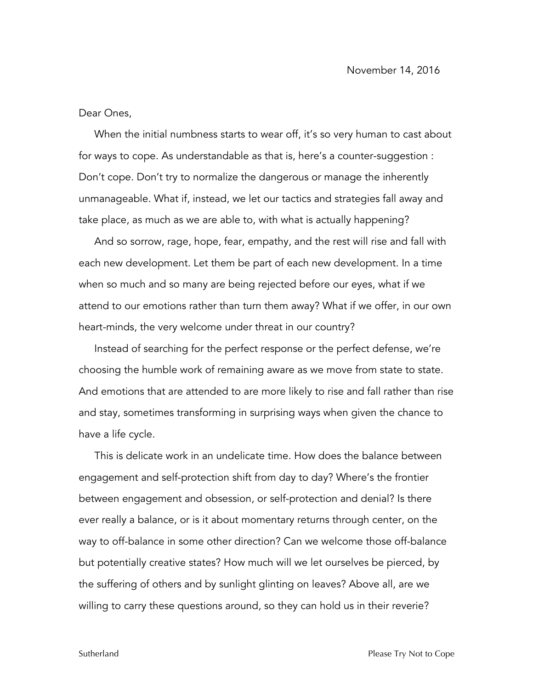Dear Ones,

When the initial numbness starts to wear off, it's so very human to cast about for ways to cope. As understandable as that is, here's a counter-suggestion : Don't cope. Don't try to normalize the dangerous or manage the inherently unmanageable. What if, instead, we let our tactics and strategies fall away and take place, as much as we are able to, with what is actually happening?

And so sorrow, rage, hope, fear, empathy, and the rest will rise and fall with each new development. Let them be part of each new development. In a time when so much and so many are being rejected before our eyes, what if we attend to our emotions rather than turn them away? What if we offer, in our own heart-minds, the very welcome under threat in our country?

Instead of searching for the perfect response or the perfect defense, we're choosing the humble work of remaining aware as we move from state to state. And emotions that are attended to are more likely to rise and fall rather than rise and stay, sometimes transforming in surprising ways when given the chance to have a life cycle.

This is delicate work in an undelicate time. How does the balance between engagement and self-protection shift from day to day? Where's the frontier between engagement and obsession, or self-protection and denial? Is there ever really a balance, or is it about momentary returns through center, on the way to off-balance in some other direction? Can we welcome those off-balance but potentially creative states? How much will we let ourselves be pierced, by the suffering of others and by sunlight glinting on leaves? Above all, are we willing to carry these questions around, so they can hold us in their reverie?